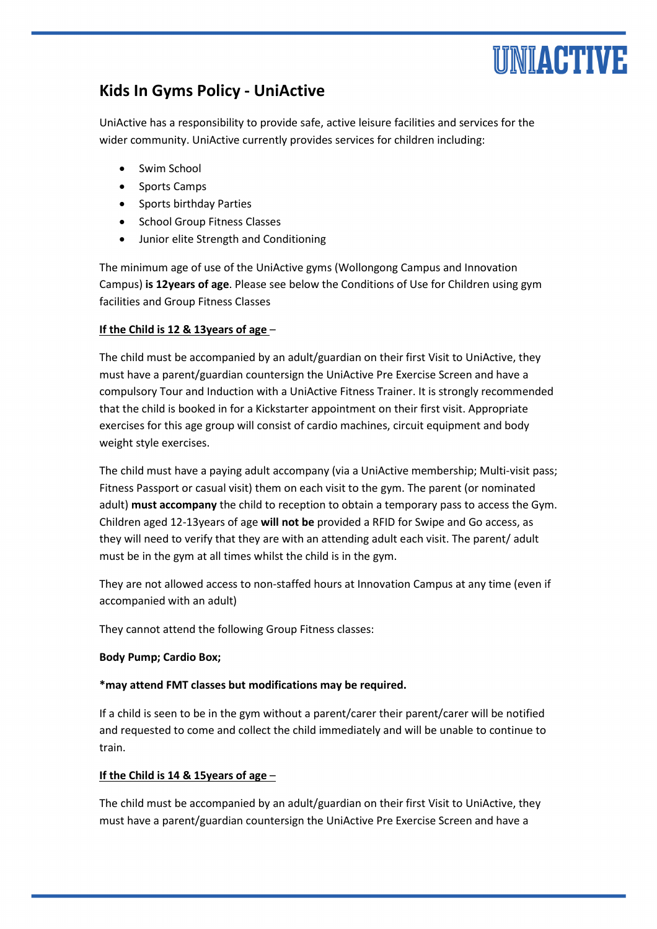# UNIACTIVE

## **Kids In Gyms Policy - UniActive**

UniActive has a responsibility to provide safe, active leisure facilities and services for the wider community. UniActive currently provides services for children including:

- Swim School
- Sports Camps
- Sports birthday Parties
- School Group Fitness Classes
- Junior elite Strength and Conditioning

The minimum age of use of the UniActive gyms (Wollongong Campus and Innovation Campus) **is 12years of age**. Please see below the Conditions of Use for Children using gym facilities and Group Fitness Classes

### **If the Child is 12 & 13years of age** –

The child must be accompanied by an adult/guardian on their first Visit to UniActive, they must have a parent/guardian countersign the UniActive Pre Exercise Screen and have a compulsory Tour and Induction with a UniActive Fitness Trainer. It is strongly recommended that the child is booked in for a Kickstarter appointment on their first visit. Appropriate exercises for this age group will consist of cardio machines, circuit equipment and body weight style exercises.

The child must have a paying adult accompany (via a UniActive membership; Multi-visit pass; Fitness Passport or casual visit) them on each visit to the gym. The parent (or nominated adult) **must accompany** the child to reception to obtain a temporary pass to access the Gym. Children aged 12-13years of age **will not be** provided a RFID for Swipe and Go access, as they will need to verify that they are with an attending adult each visit. The parent/ adult must be in the gym at all times whilst the child is in the gym.

They are not allowed access to non-staffed hours at Innovation Campus at any time (even if accompanied with an adult)

They cannot attend the following Group Fitness classes:

#### **Body Pump; Cardio Box;**

#### **\*may attend FMT classes but modifications may be required.**

If a child is seen to be in the gym without a parent/carer their parent/carer will be notified and requested to come and collect the child immediately and will be unable to continue to train.

#### **If the Child is 14 & 15years of age** –

The child must be accompanied by an adult/guardian on their first Visit to UniActive, they must have a parent/guardian countersign the UniActive Pre Exercise Screen and have a